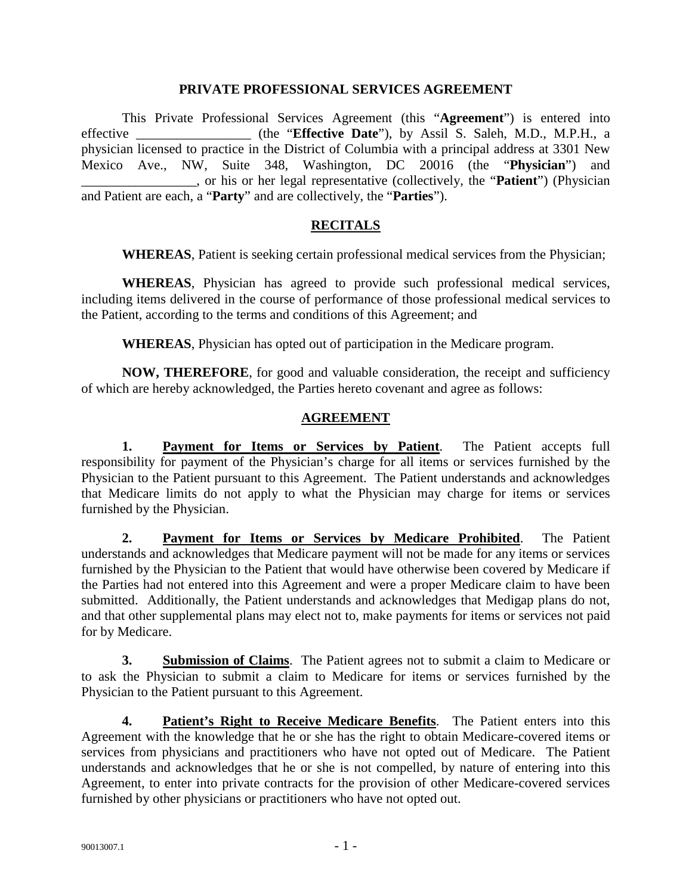#### **PRIVATE PROFESSIONAL SERVICES AGREEMENT**

This Private Professional Services Agreement (this "**Agreement**") is entered into effective \_\_\_\_\_\_\_\_\_\_\_\_\_\_\_\_\_ (the "**Effective Date**"), by Assil S. Saleh, M.D., M.P.H., a physician licensed to practice in the District of Columbia with a principal address at 3301 New Mexico Ave., NW, Suite 348, Washington, DC 20016 (the "**Physician**") and \_\_\_\_\_\_\_\_\_\_\_\_\_\_\_\_\_, or his or her legal representative (collectively, the "**Patient**") (Physician and Patient are each, a "**Party**" and are collectively, the "**Parties**").

### **RECITALS**

**WHEREAS**, Patient is seeking certain professional medical services from the Physician;

**WHEREAS**, Physician has agreed to provide such professional medical services, including items delivered in the course of performance of those professional medical services to the Patient, according to the terms and conditions of this Agreement; and

**WHEREAS**, Physician has opted out of participation in the Medicare program.

**NOW, THEREFORE**, for good and valuable consideration, the receipt and sufficiency of which are hereby acknowledged, the Parties hereto covenant and agree as follows:

#### **AGREEMENT**

**1. Payment for Items or Services by Patient**. The Patient accepts full responsibility for payment of the Physician's charge for all items or services furnished by the Physician to the Patient pursuant to this Agreement. The Patient understands and acknowledges that Medicare limits do not apply to what the Physician may charge for items or services furnished by the Physician.

**2. Payment for Items or Services by Medicare Prohibited**. The Patient understands and acknowledges that Medicare payment will not be made for any items or services furnished by the Physician to the Patient that would have otherwise been covered by Medicare if the Parties had not entered into this Agreement and were a proper Medicare claim to have been submitted. Additionally, the Patient understands and acknowledges that Medigap plans do not, and that other supplemental plans may elect not to, make payments for items or services not paid for by Medicare.

**3. Submission of Claims**. The Patient agrees not to submit a claim to Medicare or to ask the Physician to submit a claim to Medicare for items or services furnished by the Physician to the Patient pursuant to this Agreement.

**4. Patient's Right to Receive Medicare Benefits**. The Patient enters into this Agreement with the knowledge that he or she has the right to obtain Medicare-covered items or services from physicians and practitioners who have not opted out of Medicare. The Patient understands and acknowledges that he or she is not compelled, by nature of entering into this Agreement, to enter into private contracts for the provision of other Medicare-covered services furnished by other physicians or practitioners who have not opted out.